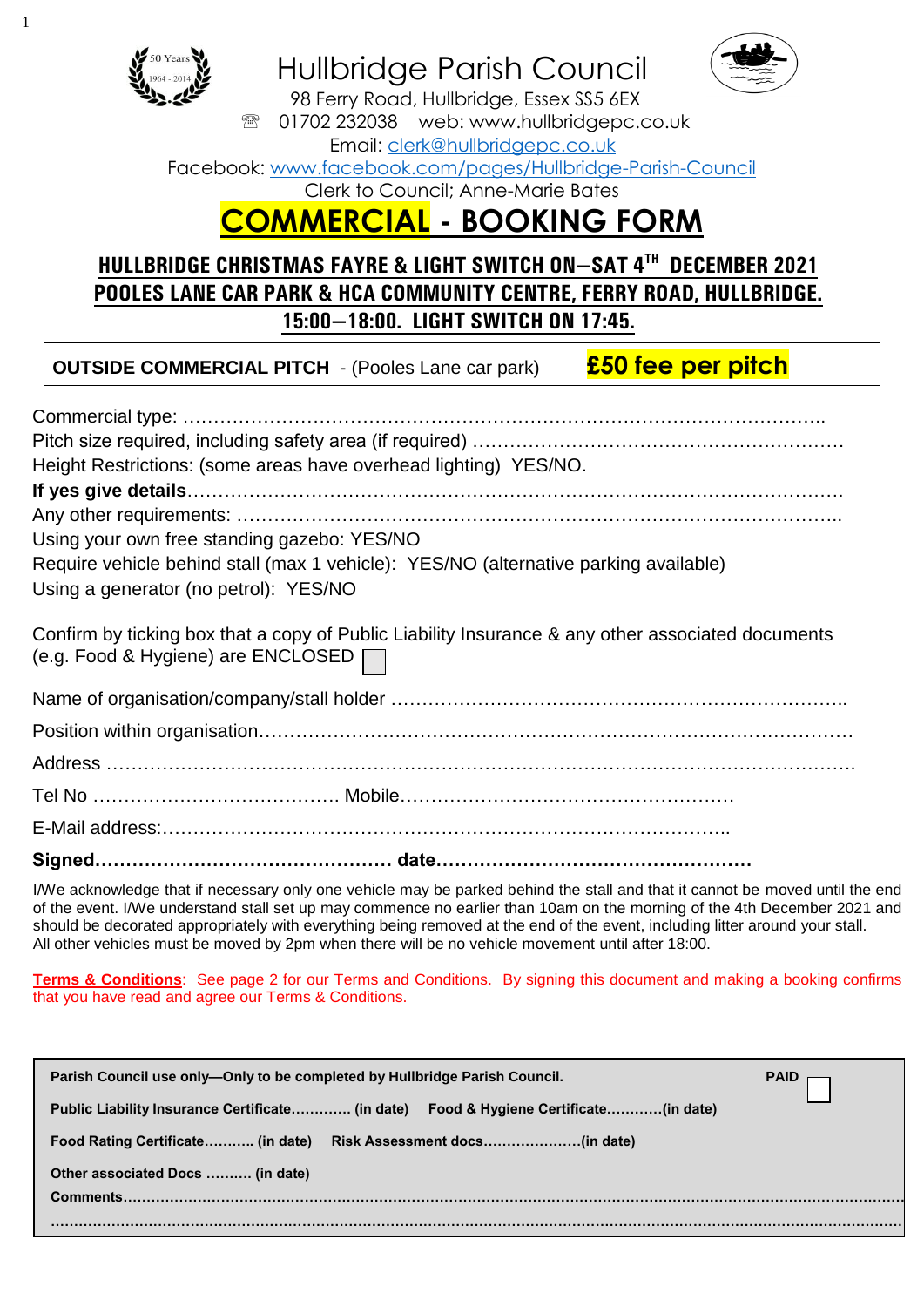

## Hullbridge Parish Council



98 Ferry Road, Hullbridge, Essex SS5 6EX <sup>3</sup> 01702 232038 web: www.hullbridgepc.co.uk

Email: [clerk@hullbridgepc.co.uk](mailto:clerk@hullbridgepc.co.uk) 

Facebook: [www.facebook.com/pages/Hullbridge-Parish-Council](http://www.facebook.com/pages/Hullbridge-Parish-Council)

Clerk to Council; Anne-Marie Bates

# **COMMERCIAL - BOOKING FORM**

### **HULLBRIDGE CHRISTMAS FAYRE & LIGHT SWITCH ON—SAT 4TH DECEMBER 2021 POOLES LANE CAR PARK & HCA COMMUNITY CENTRE, FERRY ROAD, HULLBRIDGE. 15:00—18:00. LIGHT SWITCH ON 17:45.**

### **OUTSIDE COMMERCIAL PITCH** - (Pooles Lane car park) **£50 fee per pitch**

| Height Restrictions: (some areas have overhead lighting) YES/NO.                                                                        |
|-----------------------------------------------------------------------------------------------------------------------------------------|
|                                                                                                                                         |
|                                                                                                                                         |
| Using your own free standing gazebo: YES/NO                                                                                             |
| Require vehicle behind stall (max 1 vehicle): YES/NO (alternative parking available)                                                    |
| Using a generator (no petrol): YES/NO                                                                                                   |
| Confirm by ticking box that a copy of Public Liability Insurance & any other associated documents<br>(e.g. Food & Hygiene) are ENCLOSED |
|                                                                                                                                         |
|                                                                                                                                         |
|                                                                                                                                         |
| Tel No …………………………………… Mobile………………………………………………                                                                                          |
|                                                                                                                                         |
|                                                                                                                                         |

I/We acknowledge that if necessary only one vehicle may be parked behind the stall and that it cannot be moved until the end of the event. I/We understand stall set up may commence no earlier than 10am on the morning of the 4th December 2021 and should be decorated appropriately with everything being removed at the end of the event, including litter around your stall. All other vehicles must be moved by 2pm when there will be no vehicle movement until after 18:00.

**Terms & Conditions**: See page 2 for our Terms and Conditions. By signing this document and making a booking confirms that you have read and agree our Terms & Conditions.

| Parish Council use only—Only to be completed by Hullbridge Parish Council.           | PAID $\overline{\phantom{a}}$ |
|--------------------------------------------------------------------------------------|-------------------------------|
| Public Liability Insurance Certificate (in date) Food & Hygiene Certificate(in date) |                               |
| Food Rating Certificate (in date) Risk Assessment docs (in date)                     |                               |
| Other associated Docs  (in date)                                                     |                               |
| Comments.                                                                            |                               |
|                                                                                      |                               |
|                                                                                      |                               |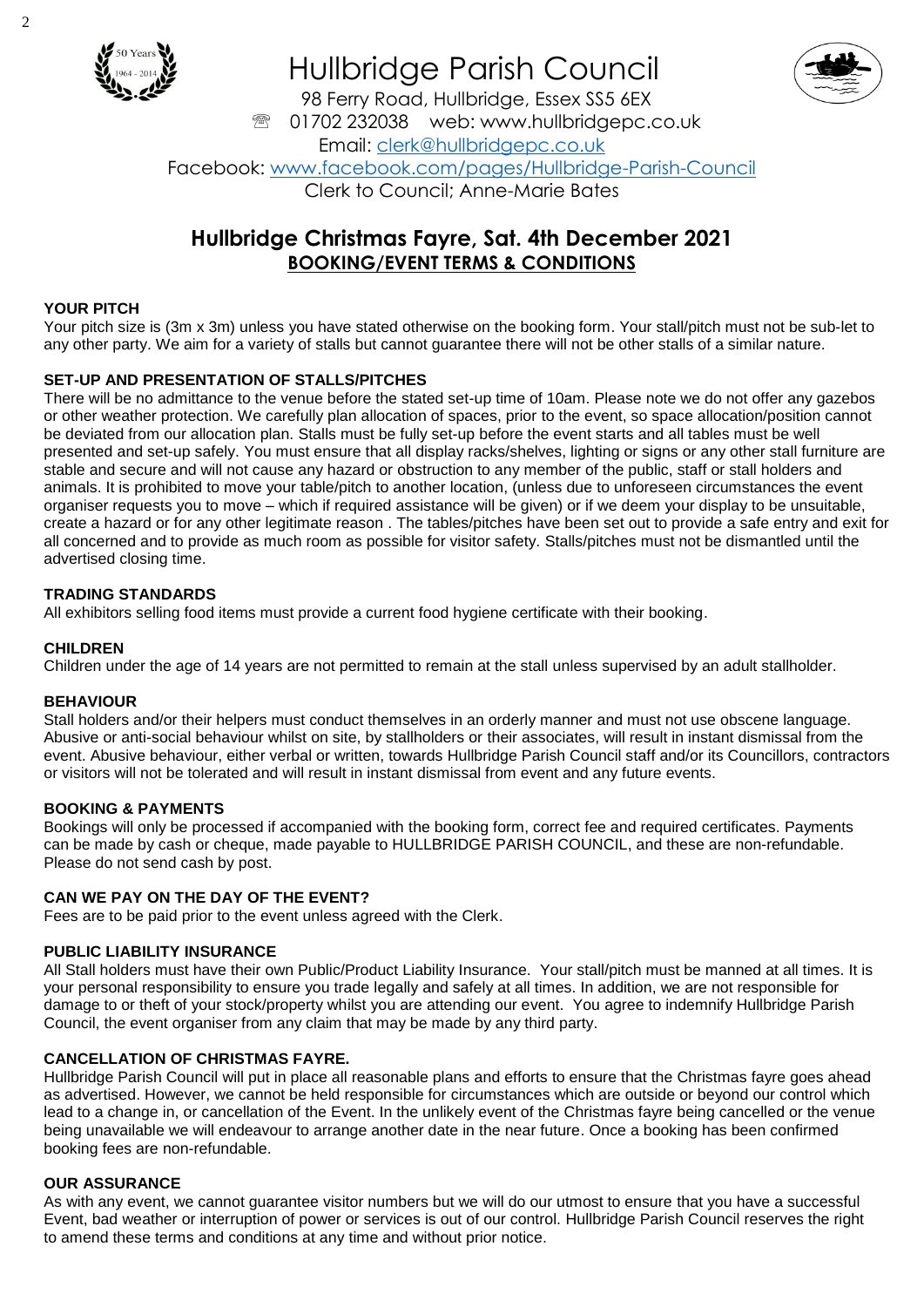

## Hullbridge Parish Council



98 Ferry Road, Hullbridge, Essex SS5 6EX <sup>3</sup> 01702 232038 web: www.hullbridgepc.co.uk Email: [clerk@hullbridgepc.co.uk](mailto:clerk@hullbridgepc.co.uk) Facebook: [www.facebook.com/pages/Hullbridge-Parish-Council](http://www.facebook.com/pages/Hullbridge-Parish-Council) Clerk to Council; Anne-Marie Bates

### **Hullbridge Christmas Fayre, Sat. 4th December 2021 BOOKING/EVENT TERMS & CONDITIONS**

#### **YOUR PITCH**

Your pitch size is (3m x 3m) unless you have stated otherwise on the booking form. Your stall/pitch must not be sub-let to any other party. We aim for a variety of stalls but cannot guarantee there will not be other stalls of a similar nature.

#### **SET-UP AND PRESENTATION OF STALLS/PITCHES**

There will be no admittance to the venue before the stated set-up time of 10am. Please note we do not offer any gazebos or other weather protection. We carefully plan allocation of spaces, prior to the event, so space allocation/position cannot be deviated from our allocation plan. Stalls must be fully set-up before the event starts and all tables must be well presented and set-up safely. You must ensure that all display racks/shelves, lighting or signs or any other stall furniture are stable and secure and will not cause any hazard or obstruction to any member of the public, staff or stall holders and animals. It is prohibited to move your table/pitch to another location, (unless due to unforeseen circumstances the event organiser requests you to move – which if required assistance will be given) or if we deem your display to be unsuitable, create a hazard or for any other legitimate reason . The tables/pitches have been set out to provide a safe entry and exit for all concerned and to provide as much room as possible for visitor safety. Stalls/pitches must not be dismantled until the advertised closing time.

#### **TRADING STANDARDS**

All exhibitors selling food items must provide a current food hygiene certificate with their booking.

#### **CHILDREN**

Children under the age of 14 years are not permitted to remain at the stall unless supervised by an adult stallholder.

#### **BEHAVIOUR**

Stall holders and/or their helpers must conduct themselves in an orderly manner and must not use obscene language. Abusive or anti-social behaviour whilst on site, by stallholders or their associates, will result in instant dismissal from the event. Abusive behaviour, either verbal or written, towards Hullbridge Parish Council staff and/or its Councillors, contractors or visitors will not be tolerated and will result in instant dismissal from event and any future events.

#### **BOOKING & PAYMENTS**

Bookings will only be processed if accompanied with the booking form, correct fee and required certificates. Payments can be made by cash or cheque, made payable to HULLBRIDGE PARISH COUNCIL, and these are non-refundable. Please do not send cash by post.

#### **CAN WE PAY ON THE DAY OF THE EVENT?**

Fees are to be paid prior to the event unless agreed with the Clerk.

#### **PUBLIC LIABILITY INSURANCE**

All Stall holders must have their own Public/Product Liability Insurance. Your stall/pitch must be manned at all times. It is your personal responsibility to ensure you trade legally and safely at all times. In addition, we are not responsible for damage to or theft of your stock/property whilst you are attending our event. You agree to indemnify Hullbridge Parish Council, the event organiser from any claim that may be made by any third party.

#### **CANCELLATION OF CHRISTMAS FAYRE.**

Hullbridge Parish Council will put in place all reasonable plans and efforts to ensure that the Christmas fayre goes ahead as advertised. However, we cannot be held responsible for circumstances which are outside or beyond our control which lead to a change in, or cancellation of the Event. In the unlikely event of the Christmas fayre being cancelled or the venue being unavailable we will endeavour to arrange another date in the near future. Once a booking has been confirmed booking fees are non-refundable.

#### **OUR ASSURANCE**

As with any event, we cannot guarantee visitor numbers but we will do our utmost to ensure that you have a successful Event, bad weather or interruption of power or services is out of our control. Hullbridge Parish Council reserves the right to amend these terms and conditions at any time and without prior notice.